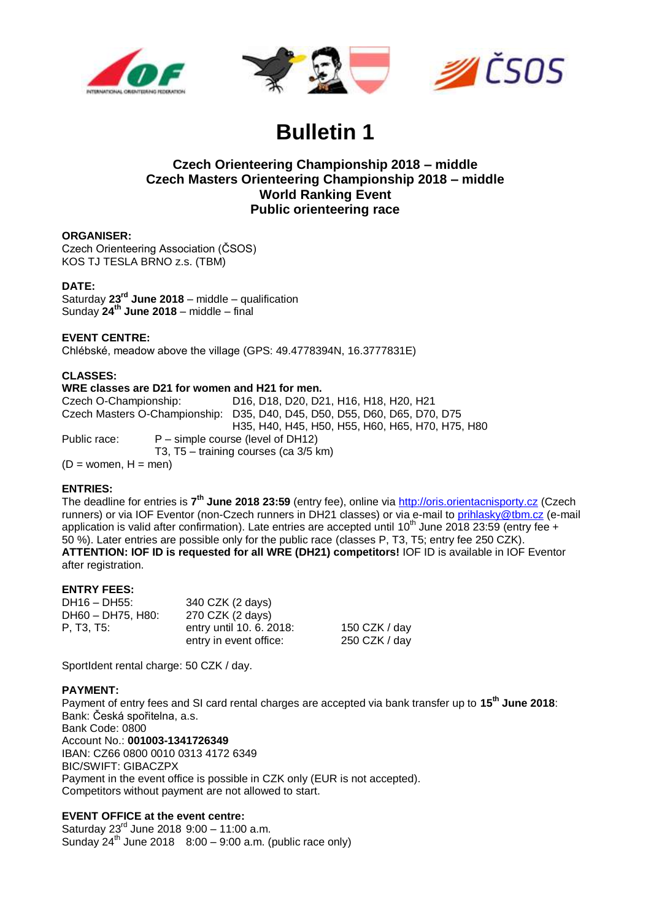



# **Bulletin 1**

# **Czech Orienteering Championship 2018 – middle Czech Masters Orienteering Championship 2018 – middle World Ranking Event Public orienteering race**

#### **ORGANISER:**

Czech Orienteering Association (ČSOS) KOS TJ TESLA BRNO z.s. (TBM)

#### **DATE:**

Saturday **23rd June 2018** – middle – qualification Sunday **24th June 2018** – middle – final

## **EVENT CENTRE:**

Chlébské, meadow above the village (GPS: 49.4778394N, 16.3777831E)

## **CLASSES:**

## **WRE classes are D21 for women and H21 for men.**

Czech O-Championship: D16, D18, D20, D21, H16, H18, H20, H21 Czech Masters O-Championship: D35, D40, D45, D50, D55, D60, D65, D70, D75 H35, H40, H45, H50, H55, H60, H65, H70, H75, H80 Public race: P – simple course (level of DH12) T3, T5 – training courses (ca 3/5 km)  $(D =$  women,  $H =$  men)

## **ENTRIES:**

The deadline for entries is **7 th June 2018 23:59** (entry fee), online via [http://oris.orientacnisporty.cz](http://oris.orientacnisporty.cz/) (Czech runners) or via IOF Eventor (non-Czech runners in DH21 classes) or via e-mail to [prihlasky@tbm.cz](mailto:prihlasky@tbm.cz) (e-mail application is valid after confirmation). Late entries are accepted until 10<sup>th</sup> June 2018 23:59 (entry fee + 50 %). Later entries are possible only for the public race (classes P, T3, T5; entry fee 250 CZK). **ATTENTION: IOF ID is requested for all WRE (DH21) competitors!** IOF ID is available in IOF Eventor after registration.

#### **ENTRY FEES:**

| DH16 - DH55:      | 340 CZK (2 days)         |               |
|-------------------|--------------------------|---------------|
| DH60 - DH75, H80: | 270 CZK (2 days)         |               |
| P. T3. T5:        | entry until 10, 6, 2018: | 150 CZK / day |
|                   | entry in event office:   | 250 CZK / day |

SportIdent rental charge: 50 CZK / day.

#### **PAYMENT:**

Payment of entry fees and SI card rental charges are accepted via bank transfer up to **15th June 2018**: Bank: Česká spořitelna, a.s.

Bank Code: 0800 Account No.: **001003-1341726349** IBAN: CZ66 0800 0010 0313 4172 6349 BIC/SWIFT: GIBACZPX Payment in the event office is possible in CZK only (EUR is not accepted). Competitors without payment are not allowed to start.

## **EVENT OFFICE at the event centre:**

Saturday 23rd June 2018 9:00 – 11:00 a.m. Sunday  $24^{th}$  June 2018  $8:00 - 9:00$  a.m. (public race only)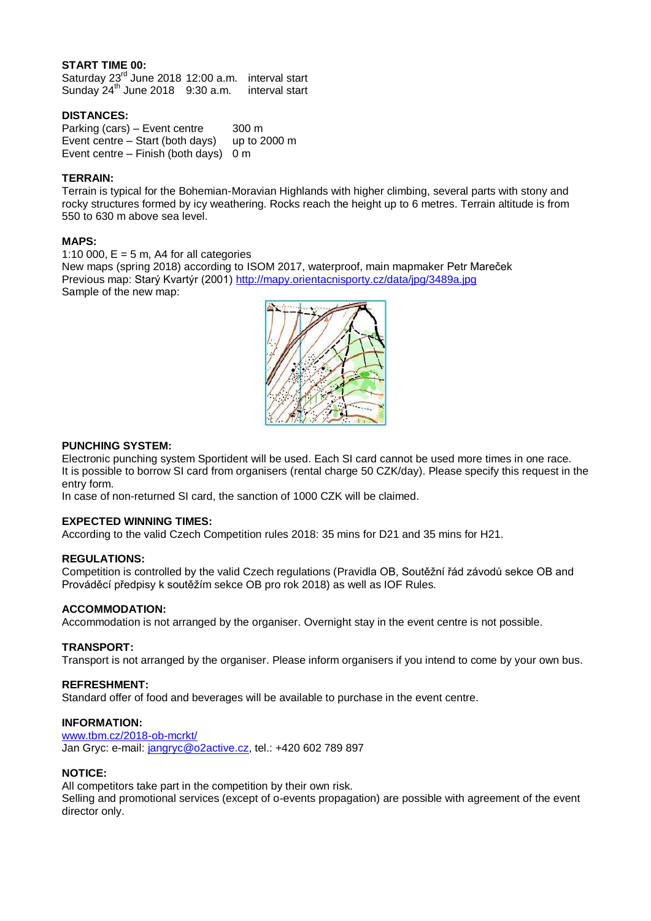## **START TIME 00:**

Saturday 23<sup>rd</sup> June 2018 12:00 a.m. interval start Sunday  $24^{th}$  June 2018 9:30 a.m. interval start

#### **DISTANCES:**

Parking (cars) – Event centre 300 m Event centre – Start (both days) up to 2000 m Event centre – Finish (both days) 0 m

#### **TERRAIN:**

Terrain is typical for the Bohemian-Moravian Highlands with higher climbing, several parts with stony and rocky structures formed by icy weathering. Rocks reach the height up to 6 metres. Terrain altitude is from 550 to 630 m above sea level.

#### **MAPS:**

1:10 000,  $E = 5$  m, A4 for all categories

New maps (spring 2018) according to ISOM 2017, waterproof, main mapmaker Petr Mareček Previous map: Starý Kvartýr (2001) <http://mapy.orientacnisporty.cz/data/jpg/3489a.jpg> Sample of the new map:



#### **PUNCHING SYSTEM:**

Electronic punching system Sportident will be used. Each SI card cannot be used more times in one race. It is possible to borrow SI card from organisers (rental charge 50 CZK/day). Please specify this request in the entry form.

In case of non-returned SI card, the sanction of 1000 CZK will be claimed.

## **EXPECTED WINNING TIMES:**

According to the valid Czech Competition rules 2018: 35 mins for D21 and 35 mins for H21.

#### **REGULATIONS:**

Competition is controlled by the valid Czech regulations (Pravidla OB, Soutěžní řád závodů sekce OB and Prováděcí předpisy k soutěžím sekce OB pro rok 2018) as well as IOF Rules.

## **ACCOMMODATION:**

Accommodation is not arranged by the organiser. Overnight stay in the event centre is not possible.

#### **TRANSPORT:**

Transport is not arranged by the organiser. Please inform organisers if you intend to come by your own bus.

#### **REFRESHMENT:**

Standard offer of food and beverages will be available to purchase in the event centre.

#### **INFORMATION:**

[www.tbm.cz/2018-ob-mcrkt/](http://www.tbm.cz/2018-ob-mcrkt/) Jan Gryc: e-mail: [jangryc@o2active.cz,](mailto:jangryc@o2active.cz) tel.: +420 602 789 897

### **NOTICE:**

All competitors take part in the competition by their own risk.

Selling and promotional services (except of o-events propagation) are possible with agreement of the event director only.